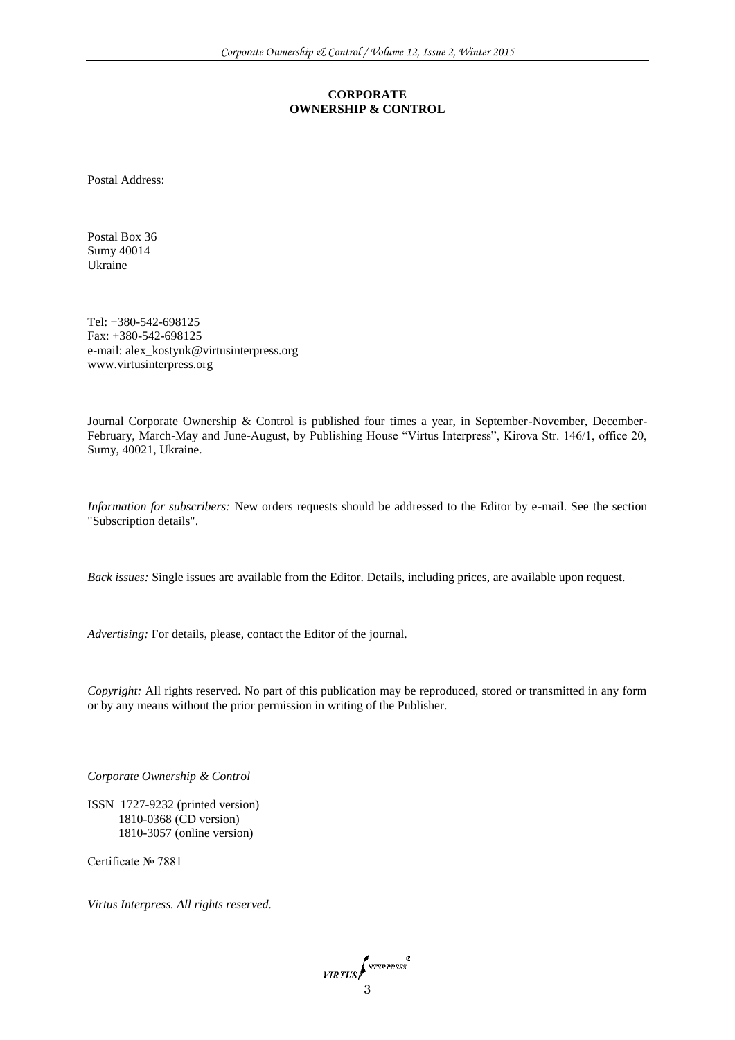#### **CORPORATE OWNERSHIP & CONTROL**

Postal Address:

Postal Box 36 Sumy 40014 Ukraine

Tel: +380-542-698125 Fax: +380-542-698125 e-mail[: alex\\_kostyuk@virtusinterpress.org](mailto:alex_kostyuk@virtusinterpress.org) www.virtusinterpress.org

Journal Corporate Ownership & Control is published four times a year, in September-November, December-February, March-May and June-August, by Publishing House "Virtus Interpress", Kirova Str. 146/1, office 20, Sumy, 40021, Ukraine.

*Information for subscribers:* New orders requests should be addressed to the Editor by e-mail. See the section "Subscription details".

*Back issues:* Single issues are available from the Editor. Details, including prices, are available upon request.

*Advertising:* For details, please, contact the Editor of the journal.

*Copyright:* All rights reserved. No part of this publication may be reproduced, stored or transmitted in any form or by any means without the prior permission in writing of the Publisher.

*Corporate Ownership & Control* 

ISSN 1727-9232 (printed version) 1810-0368 (CD version) 1810-3057 (online version)

Certificate № 7881

*Virtus Interpress. All rights reserved.*

VIRTUS STEEPRESS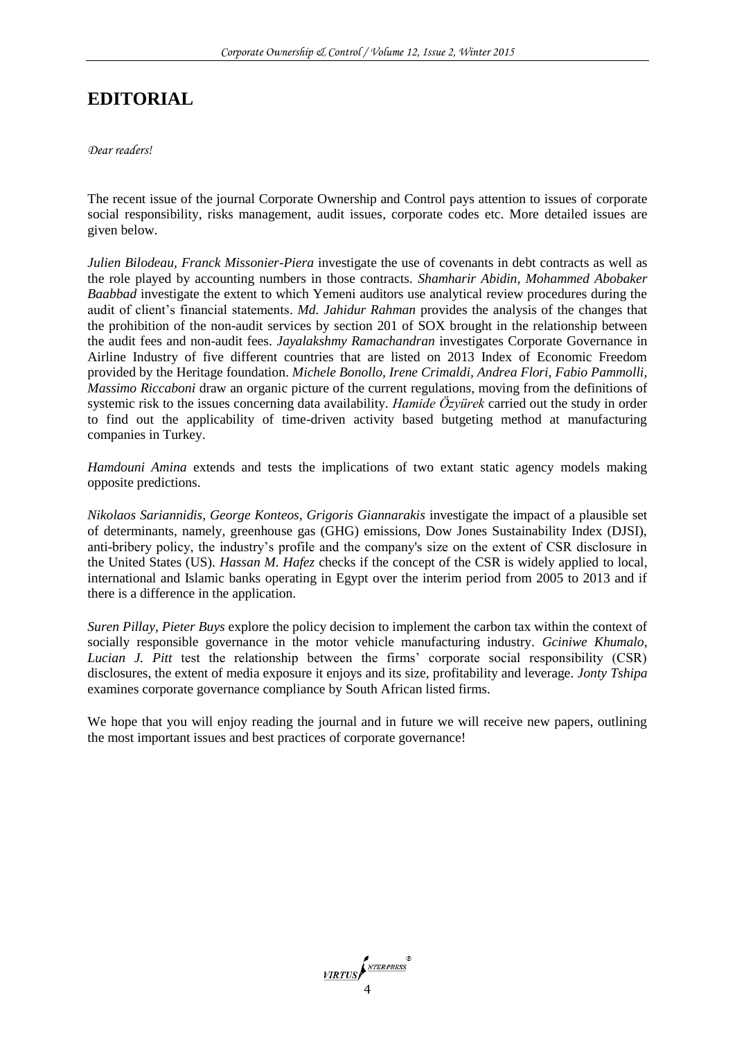# **EDITORIAL**

*Dear readers!*

The recent issue of the journal Corporate Ownership and Control pays attention to issues of corporate social responsibility, risks management, audit issues, corporate codes etc. More detailed issues are given below.

*Julien Bilodeau, Franck Missonier-Piera* investigate the use of covenants in debt contracts as well as the role played by accounting numbers in those contracts. *Shamharir Abidin, Mohammed Abobaker Baabbad* investigate the extent to which Yemeni auditors use analytical review procedures during the audit of client's financial statements. *Md. Jahidur Rahman* provides the analysis of the changes that the prohibition of the non-audit services by section 201 of SOX brought in the relationship between the audit fees and non-audit fees. *Jayalakshmy Ramachandran* investigates Corporate Governance in Airline Industry of five different countries that are listed on 2013 Index of Economic Freedom provided by the Heritage foundation. *Michele Bonollo, Irene Crimaldi, Andrea Flori, Fabio Pammolli, Massimo Riccaboni* draw an organic picture of the current regulations, moving from the definitions of systemic risk to the issues concerning data availability. *Hamide Özyürek* carried out the study in order to find out the applicability of time-driven activity based butgeting method at manufacturing companies in Turkey.

*Hamdouni Amina* extends and tests the implications of two extant static agency models making opposite predictions.

*Nikolaos Sariannidis, George Konteos, Grigoris Giannarakis* investigate the impact of a plausible set of determinants, namely, greenhouse gas (GHG) emissions, Dow Jones Sustainability Index (DJSI), anti-bribery policy, the industry's profile and the company's size on the extent of CSR disclosure in the United States (US). *Hassan M. Hafez* checks if the concept of the CSR is widely applied to local, international and Islamic banks operating in Egypt over the interim period from 2005 to 2013 and if there is a difference in the application.

*Suren Pillay, Pieter Buys* explore the policy decision to implement the carbon tax within the context of socially responsible governance in the motor vehicle manufacturing industry. *Gciniwe Khumalo, Lucian J. Pitt* test the relationship between the firms' corporate social responsibility (CSR) disclosures, the extent of media exposure it enjoys and its size, profitability and leverage. *Jonty Tshipa*  examines corporate governance compliance by South African listed firms.

We hope that you will enjoy reading the journal and in future we will receive new papers, outlining the most important issues and best practices of corporate governance!

VIRTUS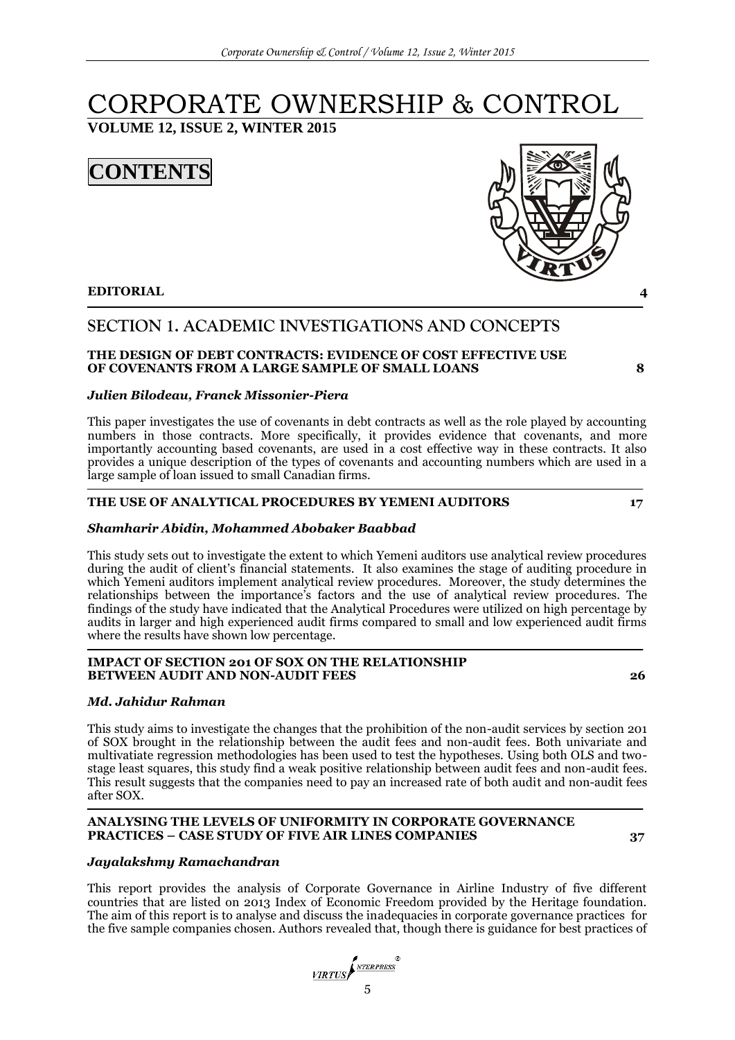# CORPORATE OWNERSHIP & CONTROL

**VOLUME 12, ISSUE 2, WINTER 2015**





# **SECTION 1. ACADEMIC INVESTIGATIONS AND CONCEPTS**

#### **THE DESIGN OF DEBT CONTRACTS: EVIDENCE OF COST EFFECTIVE USE OF COVENANTS FROM A LARGE SAMPLE OF SMALL LOANS 8**

#### *Julien Bilodeau, Franck Missonier-Piera*

This paper investigates the use of covenants in debt contracts as well as the role played by accounting numbers in those contracts. More specifically, it provides evidence that covenants, and more importantly accounting based covenants, are used in a cost effective way in these contracts. It also provides a unique description of the types of covenants and accounting numbers which are used in a large sample of loan issued to small Canadian firms.

### **THE USE OF ANALYTICAL PROCEDURES BY YEMENI AUDITORS 17**

### *Shamharir Abidin, Mohammed Abobaker Baabbad*

This study sets out to investigate the extent to which Yemeni auditors use analytical review procedures during the audit of client's financial statements. It also examines the stage of auditing procedure in which Yemeni auditors implement analytical review procedures. Moreover, the study determines the relationships between the importance's factors and the use of analytical review procedures. The findings of the study have indicated that the Analytical Procedures were utilized on high percentage by audits in larger and high experienced audit firms compared to small and low experienced audit firms where the results have shown low percentage.

#### **IMPACT OF SECTION 201 OF SOX ON THE RELATIONSHIP BETWEEN AUDIT AND NON-AUDIT FEES 26**

### *Md. Jahidur Rahman*

This study aims to investigate the changes that the prohibition of the non-audit services by section 201 of SOX brought in the relationship between the audit fees and non-audit fees. Both univariate and multivatiate regression methodologies has been used to test the hypotheses. Using both OLS and twostage least squares, this study find a weak positive relationship between audit fees and non-audit fees. This result suggests that the companies need to pay an increased rate of both audit and non-audit fees after SOX.

#### **ANALYSING THE LEVELS OF UNIFORMITY IN CORPORATE GOVERNANCE PRACTICES – CASE STUDY OF FIVE AIR LINES COMPANIES 37**

#### *Jayalakshmy Ramachandran*

This report provides the analysis of Corporate Governance in Airline Industry of five different countries that are listed on 2013 Index of Economic Freedom provided by the Heritage foundation. The aim of this report is to analyse and discuss the inadequacies in corporate governance practices for the five sample companies chosen. Authors revealed that, though there is guidance for best practices of

VIRTUS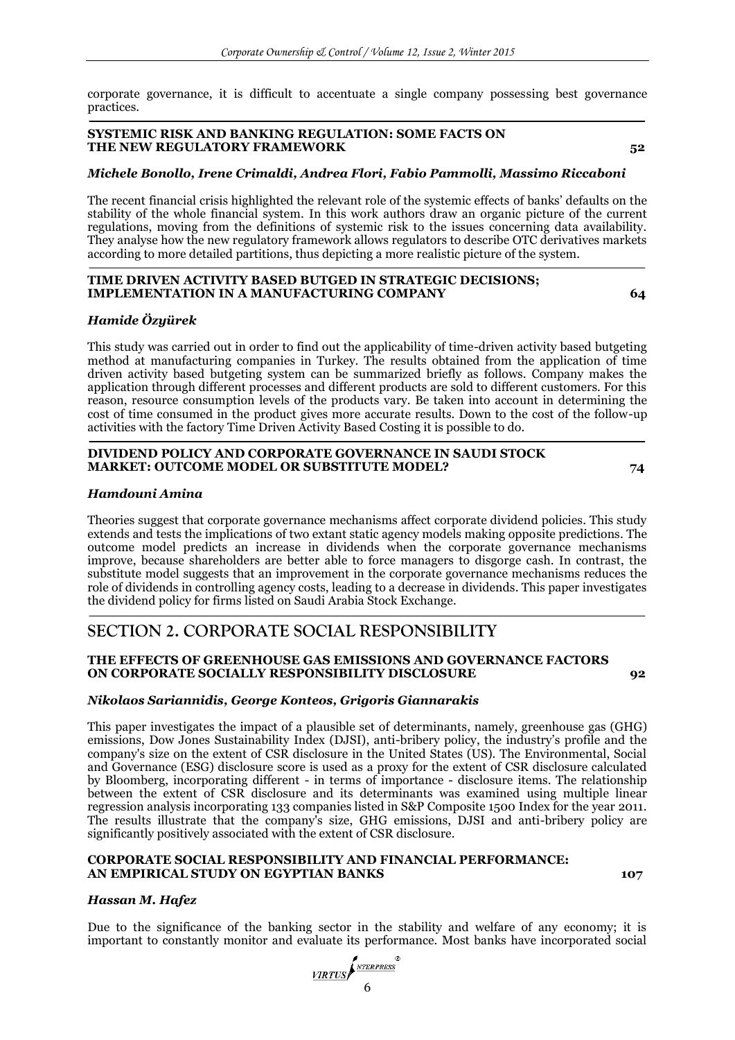corporate governance, it is difficult to accentuate a single company possessing best governance practices.

#### **SYSTEMIC RISK AND BANKING REGULATION: SOME FACTS ON THE NEW REGULATORY FRAMEWORK 52**

#### *Michele Bonollo, Irene Crimaldi, Andrea Flori, Fabio Pammolli, Massimo Riccaboni*

The recent financial crisis highlighted the relevant role of the systemic effects of banks' defaults on the stability of the whole financial system. In this work authors draw an organic picture of the current regulations, moving from the definitions of systemic risk to the issues concerning data availability. They analyse how the new regulatory framework allows regulators to describe OTC derivatives markets according to more detailed partitions, thus depicting a more realistic picture of the system.

#### **TIME DRIVEN ACTIVITY BASED BUTGED IN STRATEGIC DECISIONS; IMPLEMENTATION IN A MANUFACTURING COMPANY 64**

#### *Hamide Özyürek*

This study was carried out in order to find out the applicability of time-driven activity based butgeting method at manufacturing companies in Turkey. The results obtained from the application of time driven activity based butgeting system can be summarized briefly as follows. Company makes the application through different processes and different products are sold to different customers. For this reason, resource consumption levels of the products vary. Be taken into account in determining the cost of time consumed in the product gives more accurate results. Down to the cost of the follow-up activities with the factory Time Driven Activity Based Costing it is possible to do.

#### **DIVIDEND POLICY AND CORPORATE GOVERNANCE IN SAUDI STOCK MARKET: OUTCOME MODEL OR SUBSTITUTE MODEL? 74**

#### *Hamdouni Amina*

Theories suggest that corporate governance mechanisms affect corporate dividend policies. This study extends and tests the implications of two extant static agency models making opposite predictions. The outcome model predicts an increase in dividends when the corporate governance mechanisms improve, because shareholders are better able to force managers to disgorge cash. In contrast, the substitute model suggests that an improvement in the corporate governance mechanisms reduces the role of dividends in controlling agency costs, leading to a decrease in dividends. This paper investigates the dividend policy for firms listed on Saudi Arabia Stock Exchange.

## **SECTION 2. CORPORATE SOCIAL RESPONSIBILITY**

#### **THE EFFECTS OF GREENHOUSE GAS EMISSIONS AND GOVERNANCE FACTORS ON CORPORATE SOCIALLY RESPONSIBILITY DISCLOSURE 92**

#### *Nikolaos Sariannidis, George Konteos, Grigoris Giannarakis*

This paper investigates the impact of a plausible set of determinants, namely, greenhouse gas (GHG) emissions, Dow Jones Sustainability Index (DJSI), anti-bribery policy, the industry's profile and the company's size on the extent of CSR disclosure in the United States (US). The Environmental, Social and Governance (ESG) disclosure score is used as a proxy for the extent of CSR disclosure calculated by Bloomberg, incorporating different - in terms of importance - disclosure items. The relationship between the extent of CSR disclosure and its determinants was examined using multiple linear regression analysis incorporating 133 companies listed in S&P Composite 1500 Index for the year 2011. The results illustrate that the company's size, GHG emissions, DJSI and anti-bribery policy are significantly positively associated with the extent of CSR disclosure.

#### **CORPORATE SOCIAL RESPONSIBILITY AND FINANCIAL PERFORMANCE: AN EMPIRICAL STUDY ON EGYPTIAN BANKS 107**

#### *Hassan M. Hafez*

Due to the significance of the banking sector in the stability and welfare of any economy; it is important to constantly monitor and evaluate its performance. Most banks have incorporated social

VIRTUS